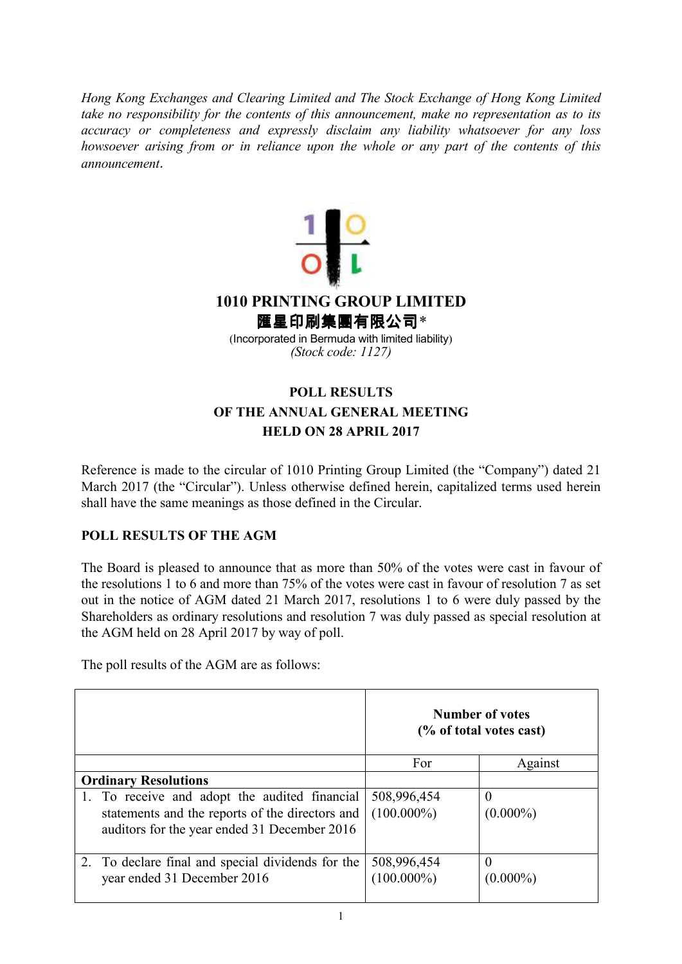*Hong Kong Exchanges and Clearing Limited and The Stock Exchange of Hong Kong Limited take no responsibility for the contents of this announcement, make no representation as to its accuracy or completeness and expressly disclaim any liability whatsoever for any loss howsoever arising from or in reliance upon the whole or any part of the contents of this announcement*.



## **POLL RESULTS OF THE ANNUAL GENERAL MEETING HELD ON 28 APRIL 2017**

Reference is made to the circular of 1010 Printing Group Limited (the "Company") dated 21 March 2017 (the "Circular"). Unless otherwise defined herein, capitalized terms used herein shall have the same meanings as those defined in the Circular.

## **POLL RESULTS OF THE AGM**

The Board is pleased to announce that as more than 50% of the votes were cast in favour of the resolutions 1 to 6 and more than 75% of the votes were cast in favour of resolution 7 as set out in the notice of AGM dated 21 March 2017, resolutions 1 to 6 were duly passed by the Shareholders as ordinary resolutions and resolution 7 was duly passed as special resolution at the AGM held on 28 April 2017 by way of poll.

The poll results of the AGM are as follows:

|                                                                                                                                                  | Number of votes<br>(% of total votes cast) |                         |
|--------------------------------------------------------------------------------------------------------------------------------------------------|--------------------------------------------|-------------------------|
|                                                                                                                                                  | For                                        | Against                 |
| <b>Ordinary Resolutions</b>                                                                                                                      |                                            |                         |
| 1. To receive and adopt the audited financial<br>statements and the reports of the directors and<br>auditors for the year ended 31 December 2016 | 508,996,454<br>$(100.000\%)$               | $(0.000\%)$             |
| 2. To declare final and special dividends for the<br>year ended 31 December 2016                                                                 | 508,996,454<br>$(100.000\%)$               | $\theta$<br>$(0.000\%)$ |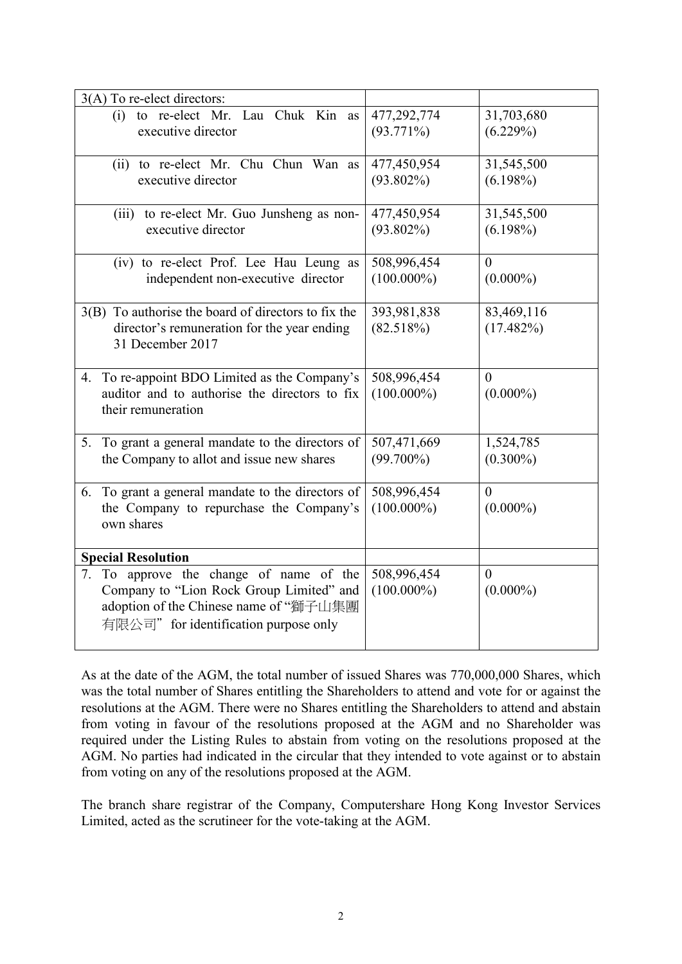| $3(A)$ To re-elect directors:                        |               |                |
|------------------------------------------------------|---------------|----------------|
| (i) to re-elect Mr. Lau Chuk Kin as                  | 477,292,774   | 31,703,680     |
| executive director                                   | $(93.771\%)$  | (6.229%)       |
|                                                      |               |                |
| (ii) to re-elect Mr. Chu Chun Wan as                 | 477,450,954   | 31,545,500     |
| executive director                                   | $(93.802\%)$  | $(6.198\%)$    |
|                                                      |               |                |
| (iii) to re-elect Mr. Guo Junsheng as non-           | 477,450,954   | 31,545,500     |
| executive director                                   | $(93.802\%)$  | $(6.198\%)$    |
|                                                      |               |                |
| (iv) to re-elect Prof. Lee Hau Leung as              | 508,996,454   | $\Omega$       |
| independent non-executive director                   | $(100.000\%)$ | $(0.000\%)$    |
|                                                      |               |                |
| 3(B) To authorise the board of directors to fix the  | 393,981,838   | 83,469,116     |
| director's remuneration for the year ending          | (82.518%)     | $(17.482\%)$   |
| 31 December 2017                                     |               |                |
|                                                      |               |                |
| To re-appoint BDO Limited as the Company's<br>4.     | 508,996,454   | $\theta$       |
| auditor and to authorise the directors to fix        | $(100.000\%)$ | $(0.000\%)$    |
| their remuneration                                   |               |                |
|                                                      |               |                |
| To grant a general mandate to the directors of<br>5. | 507,471,669   | 1,524,785      |
| the Company to allot and issue new shares            | $(99.700\%)$  | $(0.300\%)$    |
|                                                      |               |                |
| To grant a general mandate to the directors of<br>6. | 508,996,454   | $\overline{0}$ |
| the Company to repurchase the Company's              | $(100.000\%)$ | $(0.000\%)$    |
| own shares                                           |               |                |
|                                                      |               |                |
| <b>Special Resolution</b>                            |               |                |
| To approve the change of name of the<br>7.           | 508,996,454   | $\theta$       |
| Company to "Lion Rock Group Limited" and             | $(100.000\%)$ | $(0.000\%)$    |
| adoption of the Chinese name of "獅子山集團               |               |                |
| 有限公司" for identification purpose only                |               |                |
|                                                      |               |                |

As at the date of the AGM, the total number of issued Shares was 770,000,000 Shares, which was the total number of Shares entitling the Shareholders to attend and vote for or against the resolutions at the AGM. There were no Shares entitling the Shareholders to attend and abstain from voting in favour of the resolutions proposed at the AGM and no Shareholder was required under the Listing Rules to abstain from voting on the resolutions proposed at the AGM. No parties had indicated in the circular that they intended to vote against or to abstain from voting on any of the resolutions proposed at the AGM.

The branch share registrar of the Company, Computershare Hong Kong Investor Services Limited, acted as the scrutineer for the vote-taking at the AGM.